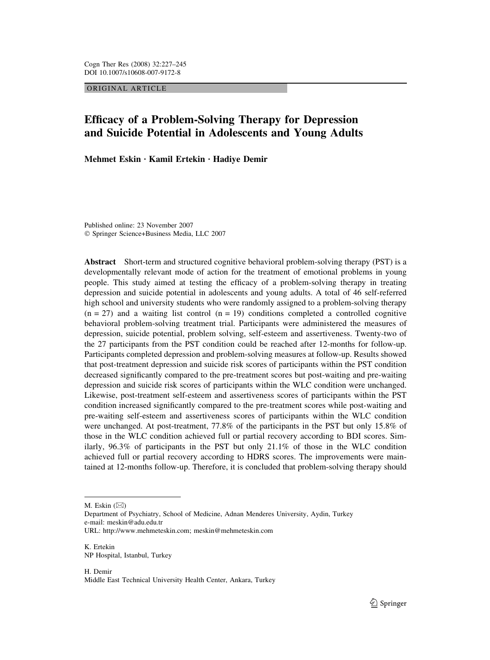ORIGINAL ARTICLE

# Efficacy of a Problem-Solving Therapy for Depression and Suicide Potential in Adolescents and Young Adults

Mehmet Eskin · Kamil Ertekin · Hadiye Demir

Published online: 23 November 2007 Springer Science+Business Media, LLC 2007

Abstract Short-term and structured cognitive behavioral problem-solving therapy (PST) is a developmentally relevant mode of action for the treatment of emotional problems in young people. This study aimed at testing the efficacy of a problem-solving therapy in treating depression and suicide potential in adolescents and young adults. A total of 46 self-referred high school and university students who were randomly assigned to a problem-solving therapy  $(n = 27)$  and a waiting list control  $(n = 19)$  conditions completed a controlled cognitive behavioral problem-solving treatment trial. Participants were administered the measures of depression, suicide potential, problem solving, self-esteem and assertiveness. Twenty-two of the 27 participants from the PST condition could be reached after 12-months for follow-up. Participants completed depression and problem-solving measures at follow-up. Results showed that post-treatment depression and suicide risk scores of participants within the PST condition decreased significantly compared to the pre-treatment scores but post-waiting and pre-waiting depression and suicide risk scores of participants within the WLC condition were unchanged. Likewise, post-treatment self-esteem and assertiveness scores of participants within the PST condition increased significantly compared to the pre-treatment scores while post-waiting and pre-waiting self-esteem and assertiveness scores of participants within the WLC condition were unchanged. At post-treatment, 77.8% of the participants in the PST but only 15.8% of those in the WLC condition achieved full or partial recovery according to BDI scores. Similarly, 96.3% of participants in the PST but only 21.1% of those in the WLC condition achieved full or partial recovery according to HDRS scores. The improvements were maintained at 12-months follow-up. Therefore, it is concluded that problem-solving therapy should

M. Eskin  $(\boxtimes)$ 

Department of Psychiatry, School of Medicine, Adnan Menderes University, Aydin, Turkey e-mail: meskin@adu.edu.tr URL: http://www.mehmeteskin.com; meskin@mehmeteskin.com

K. Ertekin NP Hospital, Istanbul, Turkey

H. Demir Middle East Technical University Health Center, Ankara, Turkey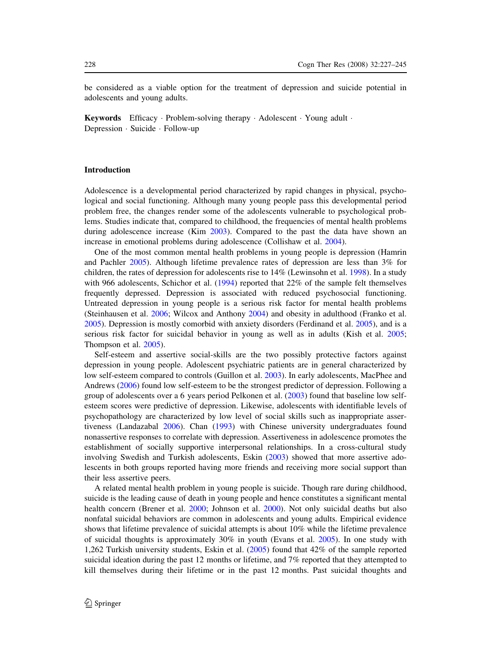be considered as a viable option for the treatment of depression and suicide potential in adolescents and young adults.

**Keywords** Efficacy Problem-solving therapy Adolescent Young adult  $\cdot$ Depression · Suicide · Follow-up

# Introduction

Adolescence is a developmental period characterized by rapid changes in physical, psychological and social functioning. Although many young people pass this developmental period problem free, the changes render some of the adolescents vulnerable to psychological problems. Studies indicate that, compared to childhood, the frequencies of mental health problems during adolescence increase (Kim [2003\)](#page-16-0). Compared to the past the data have shown an increase in emotional problems during adolescence (Collishaw et al. [2004\)](#page-15-0).

One of the most common mental health problems in young people is depression (Hamrin and Pachler [2005\)](#page-16-0). Although lifetime prevalence rates of depression are less than 3% for children, the rates of depression for adolescents rise to 14% (Lewinsohn et al. [1998](#page-17-0)). In a study with 966 adolescents, Schichor et al. ([1994\)](#page-17-0) reported that 22% of the sample felt themselves frequently depressed. Depression is associated with reduced psychosocial functioning. Untreated depression in young people is a serious risk factor for mental health problems (Steinhausen et al. [2006;](#page-17-0) Wilcox and Anthony [2004\)](#page-18-0) and obesity in adulthood (Franko et al. [2005](#page-16-0)). Depression is mostly comorbid with anxiety disorders (Ferdinand et al. [2005](#page-16-0)), and is a serious risk factor for suicidal behavior in young as well as in adults (Kish et al. [2005;](#page-16-0) Thompson et al. [2005](#page-18-0)).

Self-esteem and assertive social-skills are the two possibly protective factors against depression in young people. Adolescent psychiatric patients are in general characterized by low self-esteem compared to controls (Guillon et al. [2003\)](#page-16-0). In early adolescents, MacPhee and Andrews ([2006\)](#page-17-0) found low self-esteem to be the strongest predictor of depression. Following a group of adolescents over a 6 years period Pelkonen et al. [\(2003](#page-17-0)) found that baseline low selfesteem scores were predictive of depression. Likewise, adolescents with identifiable levels of psychopathology are characterized by low level of social skills such as inappropriate assertiveness (Landazabal [2006](#page-16-0)). Chan [\(1993](#page-15-0)) with Chinese university undergraduates found nonassertive responses to correlate with depression. Assertiveness in adolescence promotes the establishment of socially supportive interpersonal relationships. In a cross-cultural study involving Swedish and Turkish adolescents, Eskin [\(2003\)](#page-16-0) showed that more assertive adolescents in both groups reported having more friends and receiving more social support than their less assertive peers.

A related mental health problem in young people is suicide. Though rare during childhood, suicide is the leading cause of death in young people and hence constitutes a significant mental health concern (Brener et al. [2000](#page-15-0); Johnson et al. [2000](#page-16-0)). Not only suicidal deaths but also nonfatal suicidal behaviors are common in adolescents and young adults. Empirical evidence shows that lifetime prevalence of suicidal attempts is about 10% while the lifetime prevalence of suicidal thoughts is approximately 30% in youth (Evans et al. [2005\)](#page-16-0). In one study with 1,262 Turkish university students, Eskin et al. ([2005\)](#page-16-0) found that 42% of the sample reported suicidal ideation during the past 12 months or lifetime, and 7% reported that they attempted to kill themselves during their lifetime or in the past 12 months. Past suicidal thoughts and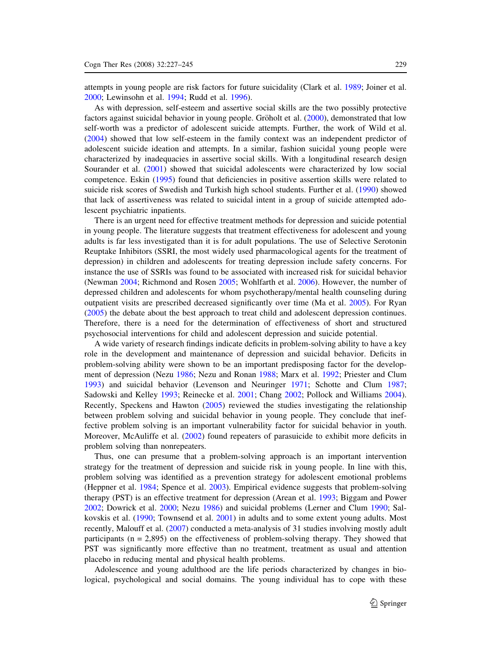attempts in young people are risk factors for future suicidality (Clark et al. [1989;](#page-15-0) Joiner et al. [2000](#page-16-0); Lewinsohn et al. [1994;](#page-17-0) Rudd et al. [1996](#page-17-0)).

As with depression, self-esteem and assertive social skills are the two possibly protective factors against suicidal behavior in young people. Gröholt et al. ([2000\)](#page-16-0), demonstrated that low self-worth was a predictor of adolescent suicide attempts. Further, the work of Wild et al. [\(2004](#page-18-0)) showed that low self-esteem in the family context was an independent predictor of adolescent suicide ideation and attempts. In a similar, fashion suicidal young people were characterized by inadequacies in assertive social skills. With a longitudinal research design Sourander et al. ([2001\)](#page-17-0) showed that suicidal adolescents were characterized by low social competence. Eskin ([1995\)](#page-16-0) found that deficiencies in positive assertion skills were related to suicide risk scores of Swedish and Turkish high school students. Further et al. ([1990](#page-15-0)) showed that lack of assertiveness was related to suicidal intent in a group of suicide attempted adolescent psychiatric inpatients.

There is an urgent need for effective treatment methods for depression and suicide potential in young people. The literature suggests that treatment effectiveness for adolescent and young adults is far less investigated than it is for adult populations. The use of Selective Serotonin Reuptake Inhibitors (SSRI, the most widely used pharmacological agents for the treatment of depression) in children and adolescents for treating depression include safety concerns. For instance the use of SSRIs was found to be associated with increased risk for suicidal behavior (Newman [2004](#page-17-0); Richmond and Rosen [2005](#page-17-0); Wohlfarth et al. [2006\)](#page-18-0). However, the number of depressed children and adolescents for whom psychotherapy/mental health counseling during outpatient visits are prescribed decreased significantly over time (Ma et al. [2005\)](#page-17-0). For Ryan [\(2005](#page-17-0)) the debate about the best approach to treat child and adolescent depression continues. Therefore, there is a need for the determination of effectiveness of short and structured psychosocial interventions for child and adolescent depression and suicide potential.

A wide variety of research findings indicate deficits in problem-solving ability to have a key role in the development and maintenance of depression and suicidal behavior. Deficits in problem-solving ability were shown to be an important predisposing factor for the development of depression (Nezu [1986;](#page-17-0) Nezu and Ronan [1988](#page-17-0); Marx et al. [1992;](#page-17-0) Priester and Clum [1993](#page-17-0)) and suicidal behavior (Levenson and Neuringer [1971;](#page-17-0) Schotte and Clum [1987;](#page-17-0) Sadowski and Kelley [1993](#page-17-0); Reinecke et al. [2001](#page-17-0); Chang [2002;](#page-15-0) Pollock and Williams [2004\)](#page-17-0). Recently, Speckens and Hawton [\(2005](#page-17-0)) reviewed the studies investigating the relationship between problem solving and suicidal behavior in young people. They conclude that ineffective problem solving is an important vulnerability factor for suicidal behavior in youth. Moreover, McAuliffe et al. [\(2002](#page-17-0)) found repeaters of parasuicide to exhibit more deficits in problem solving than nonrepeaters.

Thus, one can presume that a problem-solving approach is an important intervention strategy for the treatment of depression and suicide risk in young people. In line with this, problem solving was identified as a prevention strategy for adolescent emotional problems (Heppner et al. [1984;](#page-16-0) Spence et al. [2003](#page-17-0)). Empirical evidence suggests that problem-solving therapy (PST) is an effective treatment for depression (Arean et al. [1993;](#page-15-0) Biggam and Power [2002](#page-15-0); Dowrick et al. [2000](#page-15-0); Nezu [1986\)](#page-17-0) and suicidal problems (Lerner and Clum [1990;](#page-16-0) Salkovskis et al. ([1990;](#page-17-0) Townsend et al. [2001](#page-18-0)) in adults and to some extent young adults. Most recently, Malouff et al. ([2007](#page-17-0)) conducted a meta-analysis of 31 studies involving mostly adult participants ( $n = 2.895$ ) on the effectiveness of problem-solving therapy. They showed that PST was significantly more effective than no treatment, treatment as usual and attention placebo in reducing mental and physical health problems.

Adolescence and young adulthood are the life periods characterized by changes in biological, psychological and social domains. The young individual has to cope with these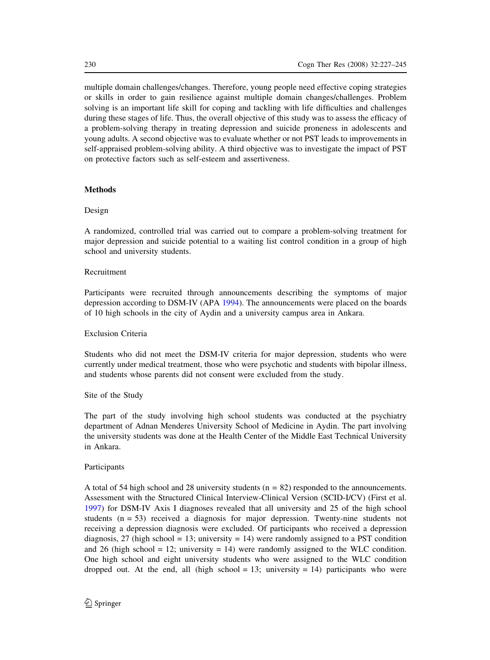multiple domain challenges/changes. Therefore, young people need effective coping strategies or skills in order to gain resilience against multiple domain changes/challenges. Problem solving is an important life skill for coping and tackling with life difficulties and challenges during these stages of life. Thus, the overall objective of this study was to assess the efficacy of a problem-solving therapy in treating depression and suicide proneness in adolescents and young adults. A second objective was to evaluate whether or not PST leads to improvements in self-appraised problem-solving ability. A third objective was to investigate the impact of PST on protective factors such as self-esteem and assertiveness.

# **Methods**

# Design

A randomized, controlled trial was carried out to compare a problem-solving treatment for major depression and suicide potential to a waiting list control condition in a group of high school and university students.

# Recruitment

Participants were recruited through announcements describing the symptoms of major depression according to DSM-IV (APA [1994](#page-15-0)). The announcements were placed on the boards of 10 high schools in the city of Aydin and a university campus area in Ankara.

# Exclusion Criteria

Students who did not meet the DSM-IV criteria for major depression, students who were currently under medical treatment, those who were psychotic and students with bipolar illness, and students whose parents did not consent were excluded from the study.

# Site of the Study

The part of the study involving high school students was conducted at the psychiatry department of Adnan Menderes University School of Medicine in Aydin. The part involving the university students was done at the Health Center of the Middle East Technical University in Ankara.

# Participants

A total of 54 high school and 28 university students ( $n = 82$ ) responded to the announcements. Assessment with the Structured Clinical Interview-Clinical Version (SCID-I/CV) (First et al. [1997](#page-16-0)) for DSM-IV Axis I diagnoses revealed that all university and 25 of the high school students (n = 53) received a diagnosis for major depression. Twenty-nine students not receiving a depression diagnosis were excluded. Of participants who received a depression diagnosis, 27 (high school = 13; university = 14) were randomly assigned to a PST condition and 26 (high school = 12; university = 14) were randomly assigned to the WLC condition. One high school and eight university students who were assigned to the WLC condition dropped out. At the end, all (high school = 13; university = 14) participants who were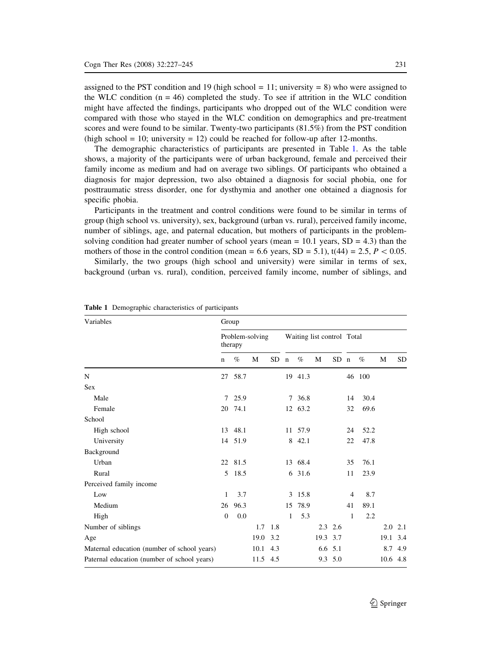assigned to the PST condition and 19 (high school  $= 11$ ; university  $= 8$ ) who were assigned to the WLC condition  $(n = 46)$  completed the study. To see if attrition in the WLC condition might have affected the findings, participants who dropped out of the WLC condition were compared with those who stayed in the WLC condition on demographics and pre-treatment scores and were found to be similar. Twenty-two participants (81.5%) from the PST condition (high school = 10; university = 12) could be reached for follow-up after 12-months.

The demographic characteristics of participants are presented in Table 1. As the table shows, a majority of the participants were of urban background, female and perceived their family income as medium and had on average two siblings. Of participants who obtained a diagnosis for major depression, two also obtained a diagnosis for social phobia, one for posttraumatic stress disorder, one for dysthymia and another one obtained a diagnosis for specific phobia.

Participants in the treatment and control conditions were found to be similar in terms of group (high school vs. university), sex, background (urban vs. rural), perceived family income, number of siblings, age, and paternal education, but mothers of participants in the problemsolving condition had greater number of school years (mean  $= 10.1$  years,  $SD = 4.3$ ) than the mothers of those in the control condition (mean = 6.6 years, SD = 5.1), t(44) = 2.5,  $P \lt 0.05$ .

Similarly, the two groups (high school and university) were similar in terms of sex, background (urban vs. rural), condition, perceived family income, number of siblings, and

| Variables                                   | Group                      |         |          |                            |             |         |          |                 |    |        |      |           |
|---------------------------------------------|----------------------------|---------|----------|----------------------------|-------------|---------|----------|-----------------|----|--------|------|-----------|
|                                             | Problem-solving<br>therapy |         |          | Waiting list control Total |             |         |          |                 |    |        |      |           |
|                                             | $\mathbf n$                | $\%$    | M        | SD.                        | $\mathbf n$ | $\%$    | М        | SD <sub>n</sub> |    | $\%$   | М    | <b>SD</b> |
| N                                           | 27                         | 58.7    |          |                            |             | 19 41.3 |          |                 |    | 46 100 |      |           |
| <b>Sex</b>                                  |                            |         |          |                            |             |         |          |                 |    |        |      |           |
| Male                                        | 7                          | 25.9    |          |                            |             | 7 36.8  |          |                 | 14 | 30.4   |      |           |
| Female                                      | 20                         | 74.1    |          |                            |             | 12 63.2 |          |                 | 32 | 69.6   |      |           |
| School                                      |                            |         |          |                            |             |         |          |                 |    |        |      |           |
| High school                                 | 13                         | 48.1    |          |                            |             | 11 57.9 |          |                 | 24 | 52.2   |      |           |
| University                                  |                            | 14 51.9 |          |                            |             | 8 42.1  |          |                 | 22 | 47.8   |      |           |
| Background                                  |                            |         |          |                            |             |         |          |                 |    |        |      |           |
| Urban                                       | 22                         | 81.5    |          |                            |             | 13 68.4 |          |                 | 35 | 76.1   |      |           |
| Rural                                       | 5                          | 18.5    |          |                            | 6           | 31.6    |          |                 | 11 | 23.9   |      |           |
| Perceived family income                     |                            |         |          |                            |             |         |          |                 |    |        |      |           |
| Low                                         | 1                          | 3.7     |          |                            | 3           | 15.8    |          |                 | 4  | 8.7    |      |           |
| Medium                                      | 26                         | 96.3    |          |                            | 15          | 78.9    |          |                 | 41 | 89.1   |      |           |
| High                                        | $\mathbf{0}$               | 0.0     |          |                            | 1           | 5.3     |          |                 | 1  | 2.2    |      |           |
| Number of siblings                          |                            |         | 1.7      | 1.8                        |             |         |          | $2.3$ 2.6       |    |        | 2.0  | 2.1       |
| Age                                         |                            |         | 19.0     | 3.2                        |             |         | 19.3 3.7 |                 |    |        | 19.1 | 3.4       |
| Maternal education (number of school years) |                            |         | 10.1 4.3 |                            |             |         |          | 6.6 5.1         |    |        | 8.7  | 4.9       |
| Paternal education (number of school years) |                            |         | 11.5 4.5 |                            |             |         |          | 9.3 5.0         |    |        | 10.6 | 4.8       |

Table 1 Demographic characteristics of participants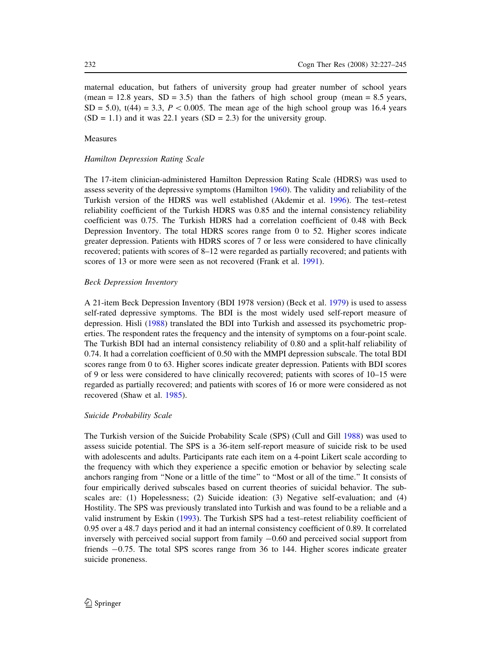maternal education, but fathers of university group had greater number of school years  $(\text{mean} = 12.8 \text{ years}, SD = 3.5)$  than the fathers of high school group (mean = 8.5 years,  $SD = 5.0$ ,  $t(44) = 3.3$ ,  $P < 0.005$ . The mean age of the high school group was 16.4 years  $(SD = 1.1)$  and it was 22.1 years  $(SD = 2.3)$  for the university group.

# Measures

# Hamilton Depression Rating Scale

The 17-item clinician-administered Hamilton Depression Rating Scale (HDRS) was used to assess severity of the depressive symptoms (Hamilton [1960](#page-16-0)). The validity and reliability of the Turkish version of the HDRS was well established (Akdemir et al. [1996\)](#page-15-0). The test–retest reliability coefficient of the Turkish HDRS was 0.85 and the internal consistency reliability coefficient was 0.75. The Turkish HDRS had a correlation coefficient of 0.48 with Beck Depression Inventory. The total HDRS scores range from 0 to 52. Higher scores indicate greater depression. Patients with HDRS scores of 7 or less were considered to have clinically recovered; patients with scores of 8–12 were regarded as partially recovered; and patients with scores of 13 or more were seen as not recovered (Frank et al. [1991\)](#page-16-0).

## Beck Depression Inventory

A 21-item Beck Depression Inventory (BDI 1978 version) (Beck et al. [1979](#page-15-0)) is used to assess self-rated depressive symptoms. The BDI is the most widely used self-report measure of depression. Hisli [\(1988\)](#page-16-0) translated the BDI into Turkish and assessed its psychometric properties. The respondent rates the frequency and the intensity of symptoms on a four-point scale. The Turkish BDI had an internal consistency reliability of 0.80 and a split-half reliability of 0.74. It had a correlation coefficient of 0.50 with the MMPI depression subscale. The total BDI scores range from 0 to 63. Higher scores indicate greater depression. Patients with BDI scores of 9 or less were considered to have clinically recovered; patients with scores of 10–15 were regarded as partially recovered; and patients with scores of 16 or more were considered as not recovered (Shaw et al. [1985\)](#page-17-0).

## Suicide Probability Scale

The Turkish version of the Suicide Probability Scale (SPS) (Cull and Gill [1988\)](#page-15-0) was used to assess suicide potential. The SPS is a 36-item self-report measure of suicide risk to be used with adolescents and adults. Participants rate each item on a 4-point Likert scale according to the frequency with which they experience a specific emotion or behavior by selecting scale anchors ranging from ''None or a little of the time'' to ''Most or all of the time.'' It consists of four empirically derived subscales based on current theories of suicidal behavior. The subscales are: (1) Hopelessness; (2) Suicide ideation: (3) Negative self-evaluation; and (4) Hostility. The SPS was previously translated into Turkish and was found to be a reliable and a valid instrument by Eskin [\(1993](#page-16-0)). The Turkish SPS had a test–retest reliability coefficient of 0.95 over a 48.7 days period and it had an internal consistency coefficient of 0.89. It correlated inversely with perceived social support from family  $-0.60$  and perceived social support from friends -0.75. The total SPS scores range from 36 to 144. Higher scores indicate greater suicide proneness.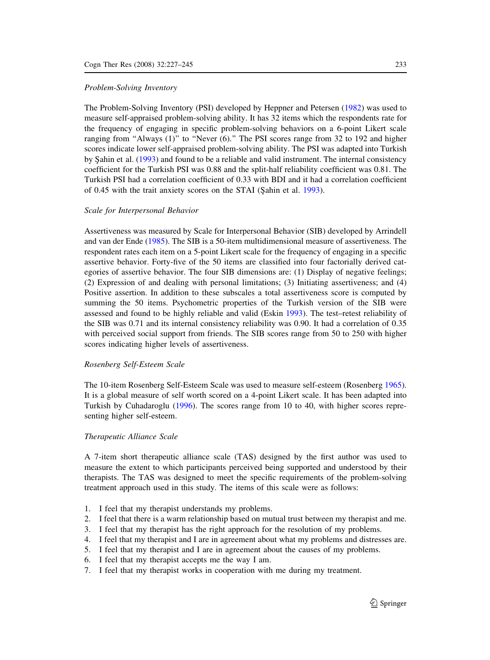#### Problem-Solving Inventory

The Problem-Solving Inventory (PSI) developed by Heppner and Petersen ([1982\)](#page-16-0) was used to measure self-appraised problem-solving ability. It has 32 items which the respondents rate for the frequency of engaging in specific problem-solving behaviors on a 6-point Likert scale ranging from "Always  $(1)$ " to "Never  $(6)$ ." The PSI scores range from 32 to 192 and higher scores indicate lower self-appraised problem-solving ability. The PSI was adapted into Turkish by Sahin et al. [\(1993](#page-17-0)) and found to be a reliable and valid instrument. The internal consistency coefficient for the Turkish PSI was 0.88 and the split-half reliability coefficient was 0.81. The Turkish PSI had a correlation coefficient of 0.33 with BDI and it had a correlation coefficient of 0.45 with the trait anxiety scores on the STAI (Şahin et al. [1993](#page-17-0)).

# Scale for Interpersonal Behavior

Assertiveness was measured by Scale for Interpersonal Behavior (SIB) developed by Arrindell and van der Ende [\(1985](#page-15-0)). The SIB is a 50-item multidimensional measure of assertiveness. The respondent rates each item on a 5-point Likert scale for the frequency of engaging in a specific assertive behavior. Forty-five of the 50 items are classified into four factorially derived categories of assertive behavior. The four SIB dimensions are: (1) Display of negative feelings; (2) Expression of and dealing with personal limitations; (3) Initiating assertiveness; and (4) Positive assertion. In addition to these subscales a total assertiveness score is computed by summing the 50 items. Psychometric properties of the Turkish version of the SIB were assessed and found to be highly reliable and valid (Eskin [1993](#page-16-0)). The test–retest reliability of the SIB was 0.71 and its internal consistency reliability was 0.90. It had a correlation of 0.35 with perceived social support from friends. The SIB scores range from 50 to 250 with higher scores indicating higher levels of assertiveness.

#### Rosenberg Self-Esteem Scale

The 10-item Rosenberg Self-Esteem Scale was used to measure self-esteem (Rosenberg [1965\)](#page-17-0). It is a global measure of self worth scored on a 4-point Likert scale. It has been adapted into Turkish by Cuhadaroglu [\(1996](#page-15-0)). The scores range from 10 to 40, with higher scores representing higher self-esteem.

# Therapeutic Alliance Scale

A 7-item short therapeutic alliance scale (TAS) designed by the first author was used to measure the extent to which participants perceived being supported and understood by their therapists. The TAS was designed to meet the specific requirements of the problem-solving treatment approach used in this study. The items of this scale were as follows:

- 1. I feel that my therapist understands my problems.
- 2. I feel that there is a warm relationship based on mutual trust between my therapist and me.
- 3. I feel that my therapist has the right approach for the resolution of my problems.
- 4. I feel that my therapist and I are in agreement about what my problems and distresses are.
- 5. I feel that my therapist and I are in agreement about the causes of my problems.
- 6. I feel that my therapist accepts me the way I am.
- 7. I feel that my therapist works in cooperation with me during my treatment.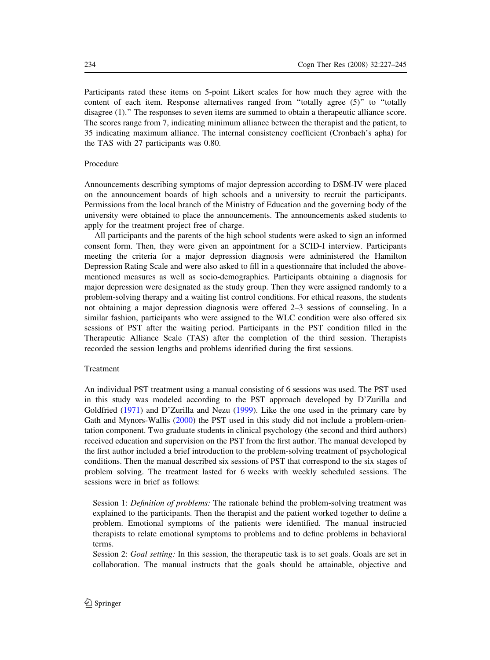Participants rated these items on 5-point Likert scales for how much they agree with the content of each item. Response alternatives ranged from ''totally agree (5)'' to ''totally disagree (1).'' The responses to seven items are summed to obtain a therapeutic alliance score. The scores range from 7, indicating minimum alliance between the therapist and the patient, to 35 indicating maximum alliance. The internal consistency coefficient (Cronbach's apha) for the TAS with 27 participants was 0.80.

# Procedure

Announcements describing symptoms of major depression according to DSM-IV were placed on the announcement boards of high schools and a university to recruit the participants. Permissions from the local branch of the Ministry of Education and the governing body of the university were obtained to place the announcements. The announcements asked students to apply for the treatment project free of charge.

All participants and the parents of the high school students were asked to sign an informed consent form. Then, they were given an appointment for a SCID-I interview. Participants meeting the criteria for a major depression diagnosis were administered the Hamilton Depression Rating Scale and were also asked to fill in a questionnaire that included the abovementioned measures as well as socio-demographics. Participants obtaining a diagnosis for major depression were designated as the study group. Then they were assigned randomly to a problem-solving therapy and a waiting list control conditions. For ethical reasons, the students not obtaining a major depression diagnosis were offered 2–3 sessions of counseling. In a similar fashion, participants who were assigned to the WLC condition were also offered six sessions of PST after the waiting period. Participants in the PST condition filled in the Therapeutic Alliance Scale (TAS) after the completion of the third session. Therapists recorded the session lengths and problems identified during the first sessions.

# Treatment

An individual PST treatment using a manual consisting of 6 sessions was used. The PST used in this study was modeled according to the PST approach developed by D'Zurilla and Goldfried ([1971\)](#page-15-0) and D'Zurilla and Nezu ([1999\)](#page-15-0). Like the one used in the primary care by Gath and Mynors-Wallis [\(2000](#page-16-0)) the PST used in this study did not include a problem-orientation component. Two graduate students in clinical psychology (the second and third authors) received education and supervision on the PST from the first author. The manual developed by the first author included a brief introduction to the problem-solving treatment of psychological conditions. Then the manual described six sessions of PST that correspond to the six stages of problem solving. The treatment lasted for 6 weeks with weekly scheduled sessions. The sessions were in brief as follows:

Session 1: Definition of problems: The rationale behind the problem-solving treatment was explained to the participants. Then the therapist and the patient worked together to define a problem. Emotional symptoms of the patients were identified. The manual instructed therapists to relate emotional symptoms to problems and to define problems in behavioral terms.

Session 2: Goal setting: In this session, the therapeutic task is to set goals. Goals are set in collaboration. The manual instructs that the goals should be attainable, objective and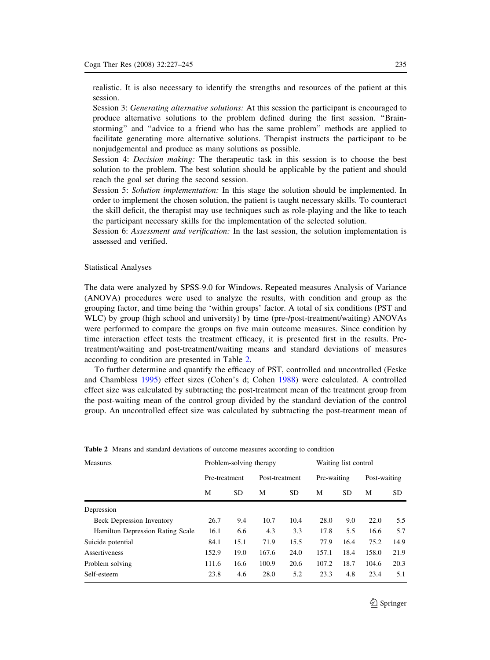<span id="page-8-0"></span>realistic. It is also necessary to identify the strengths and resources of the patient at this session.

Session 3: Generating alternative solutions: At this session the participant is encouraged to produce alternative solutions to the problem defined during the first session. ''Brainstorming'' and ''advice to a friend who has the same problem'' methods are applied to facilitate generating more alternative solutions. Therapist instructs the participant to be nonjudgemental and produce as many solutions as possible.

Session 4: *Decision making*: The therapeutic task in this session is to choose the best solution to the problem. The best solution should be applicable by the patient and should reach the goal set during the second session.

Session 5: Solution implementation: In this stage the solution should be implemented. In order to implement the chosen solution, the patient is taught necessary skills. To counteract the skill deficit, the therapist may use techniques such as role-playing and the like to teach the participant necessary skills for the implementation of the selected solution.

Session 6: *Assessment and verification*: In the last session, the solution implementation is assessed and verified.

#### Statistical Analyses

The data were analyzed by SPSS-9.0 for Windows. Repeated measures Analysis of Variance (ANOVA) procedures were used to analyze the results, with condition and group as the grouping factor, and time being the 'within groups' factor. A total of six conditions (PST and WLC) by group (high school and university) by time (pre-/post-treatment/waiting) ANOVAs were performed to compare the groups on five main outcome measures. Since condition by time interaction effect tests the treatment efficacy, it is presented first in the results. Pretreatment/waiting and post-treatment/waiting means and standard deviations of measures according to condition are presented in Table 2.

To further determine and quantify the efficacy of PST, controlled and uncontrolled (Feske and Chambless [1995\)](#page-16-0) effect sizes (Cohen's d; Cohen [1988](#page-15-0)) were calculated. A controlled effect size was calculated by subtracting the post-treatment mean of the treatment group from the post-waiting mean of the control group divided by the standard deviation of the control group. An uncontrolled effect size was calculated by subtracting the post-treatment mean of

| Measures                         |               | Problem-solving therapy |                | Waiting list control |             |           |              |           |
|----------------------------------|---------------|-------------------------|----------------|----------------------|-------------|-----------|--------------|-----------|
|                                  | Pre-treatment |                         | Post-treatment |                      | Pre-waiting |           | Post-waiting |           |
|                                  | М             | <b>SD</b>               | М              | <b>SD</b>            | М           | <b>SD</b> | M            | <b>SD</b> |
| Depression                       |               |                         |                |                      |             |           |              |           |
| <b>Beck Depression Inventory</b> | 26.7          | 9.4                     | 10.7           | 10.4                 | 28.0        | 9.0       | 22.0         | 5.5       |
| Hamilton Depression Rating Scale | 16.1          | 6.6                     | 4.3            | 3.3                  | 17.8        | 5.5       | 16.6         | 5.7       |
| Suicide potential                | 84.1          | 15.1                    | 71.9           | 15.5                 | 77.9        | 16.4      | 75.2         | 14.9      |
| Assertiveness                    | 152.9         | 19.0                    | 167.6          | 24.0                 | 157.1       | 18.4      | 158.0        | 21.9      |
| Problem solving                  | 111.6         | 16.6                    | 100.9          | 20.6                 | 107.2       | 18.7      | 104.6        | 20.3      |
| Self-esteem                      | 23.8          | 4.6                     | 28.0           | 5.2                  | 23.3        | 4.8       | 23.4         | 5.1       |

Table 2 Means and standard deviations of outcome measures according to condition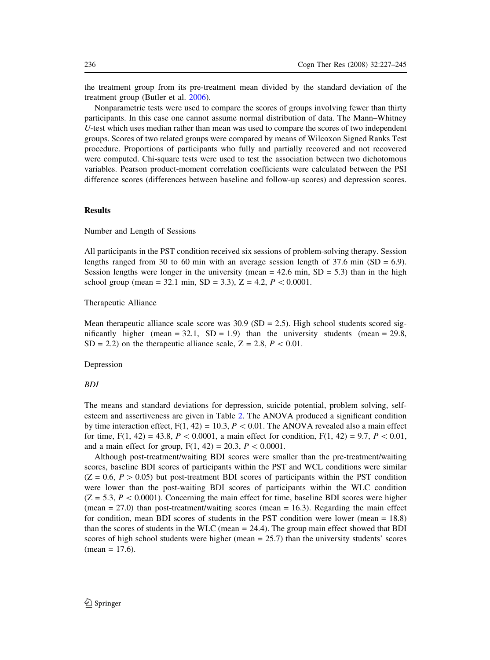the treatment group from its pre-treatment mean divided by the standard deviation of the treatment group (Butler et al. [2006](#page-15-0)).

Nonparametric tests were used to compare the scores of groups involving fewer than thirty participants. In this case one cannot assume normal distribution of data. The Mann–Whitney U-test which uses median rather than mean was used to compare the scores of two independent groups. Scores of two related groups were compared by means of Wilcoxon Signed Ranks Test procedure. Proportions of participants who fully and partially recovered and not recovered were computed. Chi-square tests were used to test the association between two dichotomous variables. Pearson product-moment correlation coefficients were calculated between the PSI difference scores (differences between baseline and follow-up scores) and depression scores.

# Results

Number and Length of Sessions

All participants in the PST condition received six sessions of problem-solving therapy. Session lengths ranged from 30 to 60 min with an average session length of 37.6 min (SD =  $6.9$ ). Session lengths were longer in the university (mean  $= 42.6$  min, SD  $= 5.3$ ) than in the high school group (mean = 32.1 min, SD = 3.3), Z = 4.2,  $P < 0.0001$ .

Therapeutic Alliance

Mean therapeutic alliance scale score was  $30.9$  (SD = 2.5). High school students scored significantly higher (mean =  $32.1$ , SD =  $1.9$ ) than the university students (mean =  $29.8$ ,  $SD = 2.2$ ) on the therapeutic alliance scale,  $Z = 2.8$ ,  $P < 0.01$ .

Depression

# BDI

The means and standard deviations for depression, suicide potential, problem solving, selfesteem and assertiveness are given in Table [2.](#page-8-0) The ANOVA produced a significant condition by time interaction effect,  $F(1, 42) = 10.3$ ,  $P < 0.01$ . The ANOVA revealed also a main effect for time, F(1, 42) = 43.8, P < 0.0001, a main effect for condition, F(1, 42) = 9.7, P < 0.01, and a main effect for group,  $F(1, 42) = 20.3$ ,  $P \lt 0.0001$ .

Although post-treatment/waiting BDI scores were smaller than the pre-treatment/waiting scores, baseline BDI scores of participants within the PST and WCL conditions were similar  $(Z = 0.6, P > 0.05)$  but post-treatment BDI scores of participants within the PST condition were lower than the post-waiting BDI scores of participants within the WLC condition  $(Z = 5.3, P < 0.0001)$ . Concerning the main effect for time, baseline BDI scores were higher (mean  $= 27.0$ ) than post-treatment/waiting scores (mean  $= 16.3$ ). Regarding the main effect for condition, mean BDI scores of students in the PST condition were lower (mean = 18.8) than the scores of students in the WLC (mean = 24.4). The group main effect showed that BDI scores of high school students were higher (mean  $= 25.7$ ) than the university students' scores  $mean = 17.6$ .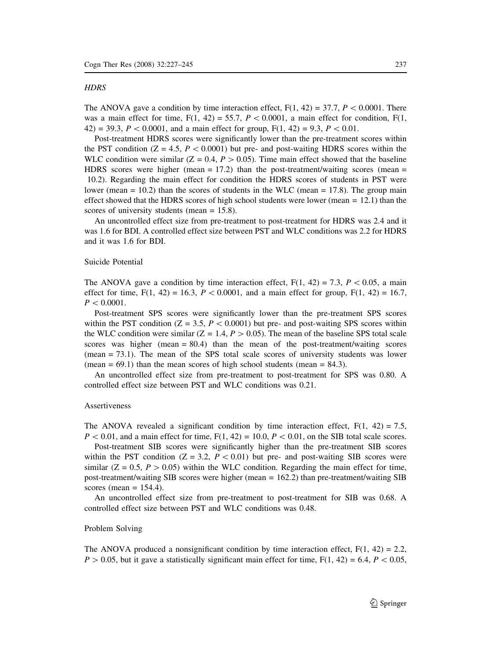#### **HDRS**

The ANOVA gave a condition by time interaction effect,  $F(1, 42) = 37.7$ ,  $P < 0.0001$ . There was a main effect for time,  $F(1, 42) = 55.7$ ,  $P < 0.0001$ , a main effect for condition,  $F(1, 42) = 55.7$ 42) = 39.3,  $P < 0.0001$ , and a main effect for group,  $F(1, 42) = 9.3$ ,  $P < 0.01$ .

Post-treatment HDRS scores were significantly lower than the pre-treatment scores within the PST condition  $(Z = 4.5, P < 0.0001)$  but pre- and post-waiting HDRS scores within the WLC condition were similar ( $Z = 0.4$ ,  $P > 0.05$ ). Time main effect showed that the baseline HDRS scores were higher (mean  $= 17.2$ ) than the post-treatment/waiting scores (mean  $=$ 10.2). Regarding the main effect for condition the HDRS scores of students in PST were lower (mean  $= 10.2$ ) than the scores of students in the WLC (mean  $= 17.8$ ). The group main effect showed that the HDRS scores of high school students were lower (mean  $= 12.1$ ) than the scores of university students (mean = 15.8).

An uncontrolled effect size from pre-treatment to post-treatment for HDRS was 2.4 and it was 1.6 for BDI. A controlled effect size between PST and WLC conditions was 2.2 for HDRS and it was 1.6 for BDI.

# Suicide Potential

The ANOVA gave a condition by time interaction effect,  $F(1, 42) = 7.3$ ,  $P \lt 0.05$ , a main effect for time, F(1, 42) = 16.3, P < 0.0001, and a main effect for group, F(1, 42) = 16.7,  $P < 0.0001$ .

Post-treatment SPS scores were significantly lower than the pre-treatment SPS scores within the PST condition ( $Z = 3.5$ ,  $P < 0.0001$ ) but pre- and post-waiting SPS scores within the WLC condition were similar ( $Z = 1.4, P > 0.05$ ). The mean of the baseline SPS total scale scores was higher (mean  $= 80.4$ ) than the mean of the post-treatment/waiting scores (mean = 73.1). The mean of the SPS total scale scores of university students was lower (mean  $= 69.1$ ) than the mean scores of high school students (mean  $= 84.3$ ).

An uncontrolled effect size from pre-treatment to post-treatment for SPS was 0.80. A controlled effect size between PST and WLC conditions was 0.21.

# Assertiveness

The ANOVA revealed a significant condition by time interaction effect,  $F(1, 42) = 7.5$ ,  $P < 0.01$ , and a main effect for time,  $F(1, 42) = 10.0, P < 0.01$ , on the SIB total scale scores.

Post-treatment SIB scores were significantly higher than the pre-treatment SIB scores within the PST condition ( $Z = 3.2$ ,  $P \lt 0.01$ ) but pre- and post-waiting SIB scores were similar ( $Z = 0.5$ ,  $P > 0.05$ ) within the WLC condition. Regarding the main effect for time, post-treatment/waiting SIB scores were higher (mean = 162.2) than pre-treatment/waiting SIB scores (mean  $= 154.4$ ).

An uncontrolled effect size from pre-treatment to post-treatment for SIB was 0.68. A controlled effect size between PST and WLC conditions was 0.48.

## Problem Solving

The ANOVA produced a nonsignificant condition by time interaction effect,  $F(1, 42) = 2.2$ ,  $P > 0.05$ , but it gave a statistically significant main effect for time,  $F(1, 42) = 6.4$ ,  $P < 0.05$ ,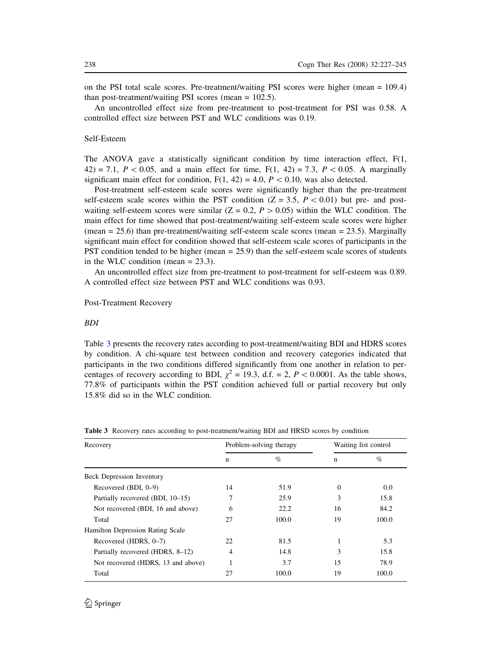<span id="page-11-0"></span>on the PSI total scale scores. Pre-treatment/waiting PSI scores were higher (mean = 109.4) than post-treatment/waiting PSI scores (mean = 102.5).

An uncontrolled effect size from pre-treatment to post-treatment for PSI was 0.58. A controlled effect size between PST and WLC conditions was 0.19.

## Self-Esteem

The ANOVA gave a statistically significant condition by time interaction effect, F(1, 42) = 7.1,  $P < 0.05$ , and a main effect for time, F(1, 42) = 7.3, P $< 0.05$ . A marginally significant main effect for condition,  $F(1, 42) = 4.0$ ,  $P < 0.10$ , was also detected.

Post-treatment self-esteem scale scores were significantly higher than the pre-treatment self-esteem scale scores within the PST condition ( $Z = 3.5$ ,  $P \lt 0.01$ ) but pre- and postwaiting self-esteem scores were similar ( $Z = 0.2$ ,  $P > 0.05$ ) within the WLC condition. The main effect for time showed that post-treatment/waiting self-esteem scale scores were higher (mean  $= 25.6$ ) than pre-treatment/waiting self-esteem scale scores (mean  $= 23.5$ ). Marginally significant main effect for condition showed that self-esteem scale scores of participants in the PST condition tended to be higher (mean = 25.9) than the self-esteem scale scores of students in the WLC condition (mean = 23.3).

An uncontrolled effect size from pre-treatment to post-treatment for self-esteem was 0.89. A controlled effect size between PST and WLC conditions was 0.93.

## Post-Treatment Recovery

# BDI

Table 3 presents the recovery rates according to post-treatment/waiting BDI and HDRS scores by condition. A chi-square test between condition and recovery categories indicated that participants in the two conditions differed significantly from one another in relation to percentages of recovery according to BDI,  $\chi^2 = 19.3$ , d.f. = 2, P < 0.0001. As the table shows, 77.8% of participants within the PST condition achieved full or partial recovery but only 15.8% did so in the WLC condition.

| Recovery                           |    | Problem-solving therapy | Waiting list control |       |  |  |
|------------------------------------|----|-------------------------|----------------------|-------|--|--|
|                                    | n  | $\%$                    | n                    | $\%$  |  |  |
| <b>Beck Depression Inventory</b>   |    |                         |                      |       |  |  |
| Recovered (BDI, 0-9)               | 14 | 51.9                    | $\Omega$             | 0.0   |  |  |
| Partially recovered (BDI, 10-15)   | 7  | 25.9                    | 3                    | 15.8  |  |  |
| Not recovered (BDI, 16 and above)  | 6  | 22.2                    | 16                   | 84.2  |  |  |
| Total                              | 27 | 100.0                   | 19                   | 100.0 |  |  |
| Hamilton Depression Rating Scale   |    |                         |                      |       |  |  |
| Recovered (HDRS, 0-7)              | 22 | 81.5                    |                      | 5.3   |  |  |
| Partially recovered (HDRS, 8-12)   | 4  | 14.8                    | 3                    | 15.8  |  |  |
| Not recovered (HDRS, 13 and above) |    | 3.7                     | 15                   | 78.9  |  |  |
| Total                              | 27 | 100.0                   | 19                   | 100.0 |  |  |

Table 3 Recovery rates according to post-treatment/waiting BDI and HRSD scores by condition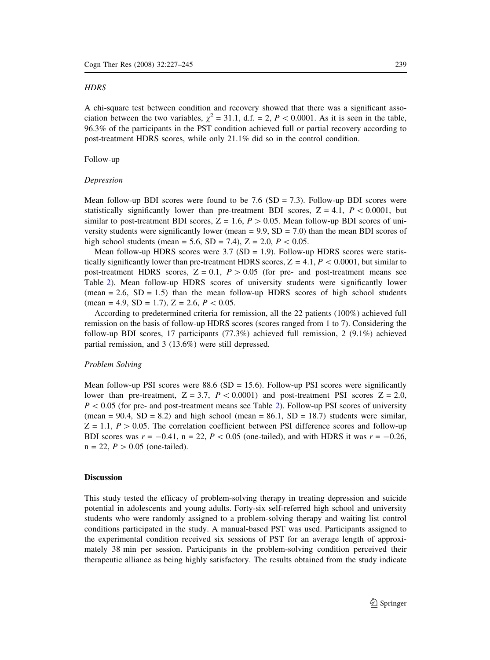## **HDRS**

A chi-square test between condition and recovery showed that there was a significant association between the two variables,  $\chi^2 = 31.1$ , d.f. = 2, P < 0.0001. As it is seen in the table, 96.3% of the participants in the PST condition achieved full or partial recovery according to post-treatment HDRS scores, while only 21.1% did so in the control condition.

# Follow-up

# Depression

Mean follow-up BDI scores were found to be 7.6 ( $SD = 7.3$ ). Follow-up BDI scores were statistically significantly lower than pre-treatment BDI scores,  $Z = 4.1$ ,  $P \lt 0.0001$ , but similar to post-treatment BDI scores,  $Z = 1.6$ ,  $P > 0.05$ . Mean follow-up BDI scores of university students were significantly lower (mean  $= 9.9$ , SD  $= 7.0$ ) than the mean BDI scores of high school students (mean = 5.6, SD = 7.4), Z = 2.0,  $P < 0.05$ .

Mean follow-up HDRS scores were  $3.7$  (SD = 1.9). Follow-up HDRS scores were statistically significantly lower than pre-treatment HDRS scores,  $Z = 4.1$ ,  $P \lt 0.0001$ , but similar to post-treatment HDRS scores,  $Z = 0.1$ ,  $P > 0.05$  (for pre- and post-treatment means see Table [2\)](#page-8-0). Mean follow-up HDRS scores of university students were significantly lower  $(mean = 2.6, SD = 1.5)$  than the mean follow-up HDRS scores of high school students (mean = 4.9, SD = 1.7), Z = 2.6,  $P < 0.05$ .

According to predetermined criteria for remission, all the 22 patients (100%) achieved full remission on the basis of follow-up HDRS scores (scores ranged from 1 to 7). Considering the follow-up BDI scores, 17 participants (77.3%) achieved full remission, 2 (9.1%) achieved partial remission, and 3 (13.6%) were still depressed.

#### Problem Solving

Mean follow-up PSI scores were 88.6 ( $SD = 15.6$ ). Follow-up PSI scores were significantly lower than pre-treatment,  $Z = 3.7$ ,  $P \lt 0.0001$  and post-treatment PSI scores  $Z = 2.0$ ,  $P < 0.05$  (for pre- and post-treatment means see Table [2](#page-8-0)). Follow-up PSI scores of university (mean =  $90.4$ , SD =  $8.2$ ) and high school (mean =  $86.1$ , SD = 18.7) students were similar,  $Z = 1.1$ ,  $P > 0.05$ . The correlation coefficient between PSI difference scores and follow-up BDI scores was  $r = -0.41$ ,  $n = 22$ ,  $P < 0.05$  (one-tailed), and with HDRS it was  $r = -0.26$ ,  $n = 22, P > 0.05$  (one-tailed).

# **Discussion**

This study tested the efficacy of problem-solving therapy in treating depression and suicide potential in adolescents and young adults. Forty-six self-referred high school and university students who were randomly assigned to a problem-solving therapy and waiting list control conditions participated in the study. A manual-based PST was used. Participants assigned to the experimental condition received six sessions of PST for an average length of approximately 38 min per session. Participants in the problem-solving condition perceived their therapeutic alliance as being highly satisfactory. The results obtained from the study indicate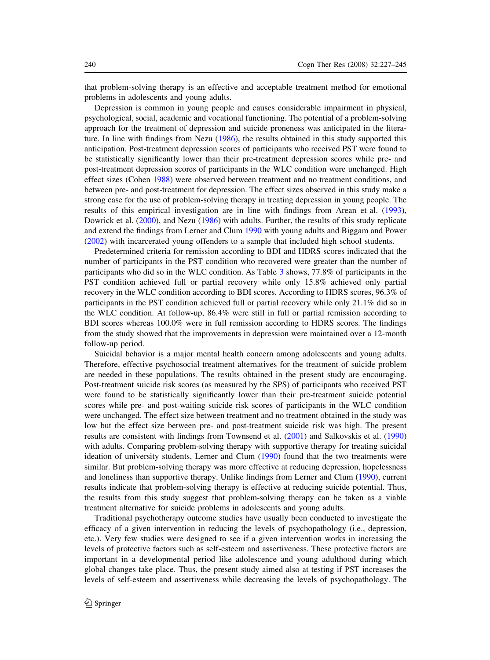that problem-solving therapy is an effective and acceptable treatment method for emotional problems in adolescents and young adults.

Depression is common in young people and causes considerable impairment in physical, psychological, social, academic and vocational functioning. The potential of a problem-solving approach for the treatment of depression and suicide proneness was anticipated in the literature. In line with findings from Nezu ([1986\)](#page-17-0), the results obtained in this study supported this anticipation. Post-treatment depression scores of participants who received PST were found to be statistically significantly lower than their pre-treatment depression scores while pre- and post-treatment depression scores of participants in the WLC condition were unchanged. High effect sizes (Cohen [1988\)](#page-15-0) were observed between treatment and no treatment conditions, and between pre- and post-treatment for depression. The effect sizes observed in this study make a strong case for the use of problem-solving therapy in treating depression in young people. The results of this empirical investigation are in line with findings from Arean et al. ([1993\)](#page-15-0), Dowrick et al. [\(2000](#page-15-0)), and Nezu ([1986](#page-17-0)) with adults. Further, the results of this study replicate and extend the findings from Lerner and Clum [1990](#page-16-0) with young adults and Biggam and Power [\(2002](#page-15-0)) with incarcerated young offenders to a sample that included high school students.

Predetermined criteria for remission according to BDI and HDRS scores indicated that the number of participants in the PST condition who recovered were greater than the number of participants who did so in the WLC condition. As Table [3](#page-11-0) shows, 77.8% of participants in the PST condition achieved full or partial recovery while only 15.8% achieved only partial recovery in the WLC condition according to BDI scores. According to HDRS scores, 96.3% of participants in the PST condition achieved full or partial recovery while only 21.1% did so in the WLC condition. At follow-up, 86.4% were still in full or partial remission according to BDI scores whereas 100.0% were in full remission according to HDRS scores. The findings from the study showed that the improvements in depression were maintained over a 12-month follow-up period.

Suicidal behavior is a major mental health concern among adolescents and young adults. Therefore, effective psychosocial treatment alternatives for the treatment of suicide problem are needed in these populations. The results obtained in the present study are encouraging. Post-treatment suicide risk scores (as measured by the SPS) of participants who received PST were found to be statistically significantly lower than their pre-treatment suicide potential scores while pre- and post-waiting suicide risk scores of participants in the WLC condition were unchanged. The effect size between treatment and no treatment obtained in the study was low but the effect size between pre- and post-treatment suicide risk was high. The present results are consistent with findings from Townsend et al. ([2001\)](#page-18-0) and Salkovskis et al. [\(1990](#page-17-0)) with adults. Comparing problem-solving therapy with supportive therapy for treating suicidal ideation of university students, Lerner and Clum [\(1990](#page-16-0)) found that the two treatments were similar. But problem-solving therapy was more effective at reducing depression, hopelessness and loneliness than supportive therapy. Unlike findings from Lerner and Clum [\(1990](#page-16-0)), current results indicate that problem-solving therapy is effective at reducing suicide potential. Thus, the results from this study suggest that problem-solving therapy can be taken as a viable treatment alternative for suicide problems in adolescents and young adults.

Traditional psychotherapy outcome studies have usually been conducted to investigate the efficacy of a given intervention in reducing the levels of psychopathology (i.e., depression, etc.). Very few studies were designed to see if a given intervention works in increasing the levels of protective factors such as self-esteem and assertiveness. These protective factors are important in a developmental period like adolescence and young adulthood during which global changes take place. Thus, the present study aimed also at testing if PST increases the levels of self-esteem and assertiveness while decreasing the levels of psychopathology. The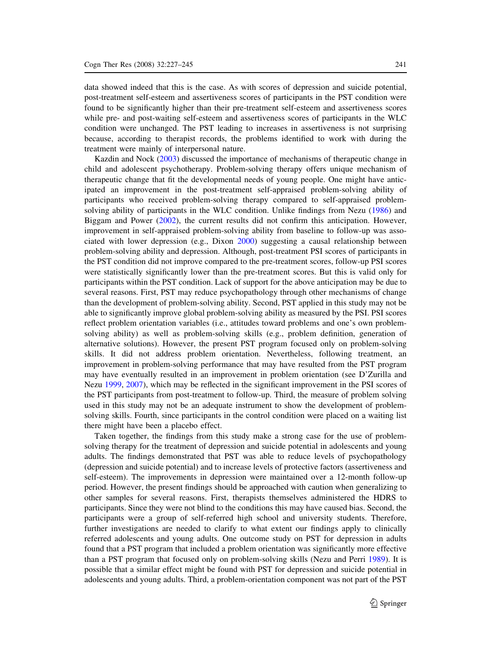data showed indeed that this is the case. As with scores of depression and suicide potential, post-treatment self-esteem and assertiveness scores of participants in the PST condition were found to be significantly higher than their pre-treatment self-esteem and assertiveness scores while pre- and post-waiting self-esteem and assertiveness scores of participants in the WLC condition were unchanged. The PST leading to increases in assertiveness is not surprising because, according to therapist records, the problems identified to work with during the treatment were mainly of interpersonal nature.

Kazdin and Nock [\(2003](#page-16-0)) discussed the importance of mechanisms of therapeutic change in child and adolescent psychotherapy. Problem-solving therapy offers unique mechanism of therapeutic change that fit the developmental needs of young people. One might have anticipated an improvement in the post-treatment self-appraised problem-solving ability of participants who received problem-solving therapy compared to self-appraised problemsolving ability of participants in the WLC condition. Unlike findings from Nezu [\(1986](#page-17-0)) and Biggam and Power ([2002\)](#page-15-0), the current results did not confirm this anticipation. However, improvement in self-appraised problem-solving ability from baseline to follow-up was associated with lower depression (e.g., Dixon [2000](#page-15-0)) suggesting a causal relationship between problem-solving ability and depression. Although, post-treatment PSI scores of participants in the PST condition did not improve compared to the pre-treatment scores, follow-up PSI scores were statistically significantly lower than the pre-treatment scores. But this is valid only for participants within the PST condition. Lack of support for the above anticipation may be due to several reasons. First, PST may reduce psychopathology through other mechanisms of change than the development of problem-solving ability. Second, PST applied in this study may not be able to significantly improve global problem-solving ability as measured by the PSI. PSI scores reflect problem orientation variables (i.e., attitudes toward problems and one's own problemsolving ability) as well as problem-solving skills (e.g., problem definition, generation of alternative solutions). However, the present PST program focused only on problem-solving skills. It did not address problem orientation. Nevertheless, following treatment, an improvement in problem-solving performance that may have resulted from the PST program may have eventually resulted in an improvement in problem orientation (see D'Zurilla and Nezu [1999,](#page-15-0) [2007\)](#page-15-0), which may be reflected in the significant improvement in the PSI scores of the PST participants from post-treatment to follow-up. Third, the measure of problem solving used in this study may not be an adequate instrument to show the development of problemsolving skills. Fourth, since participants in the control condition were placed on a waiting list there might have been a placebo effect.

Taken together, the findings from this study make a strong case for the use of problemsolving therapy for the treatment of depression and suicide potential in adolescents and young adults. The findings demonstrated that PST was able to reduce levels of psychopathology (depression and suicide potential) and to increase levels of protective factors (assertiveness and self-esteem). The improvements in depression were maintained over a 12-month follow-up period. However, the present findings should be approached with caution when generalizing to other samples for several reasons. First, therapists themselves administered the HDRS to participants. Since they were not blind to the conditions this may have caused bias. Second, the participants were a group of self-referred high school and university students. Therefore, further investigations are needed to clarify to what extent our findings apply to clinically referred adolescents and young adults. One outcome study on PST for depression in adults found that a PST program that included a problem orientation was significantly more effective than a PST program that focused only on problem-solving skills (Nezu and Perri [1989](#page-17-0)). It is possible that a similar effect might be found with PST for depression and suicide potential in adolescents and young adults. Third, a problem-orientation component was not part of the PST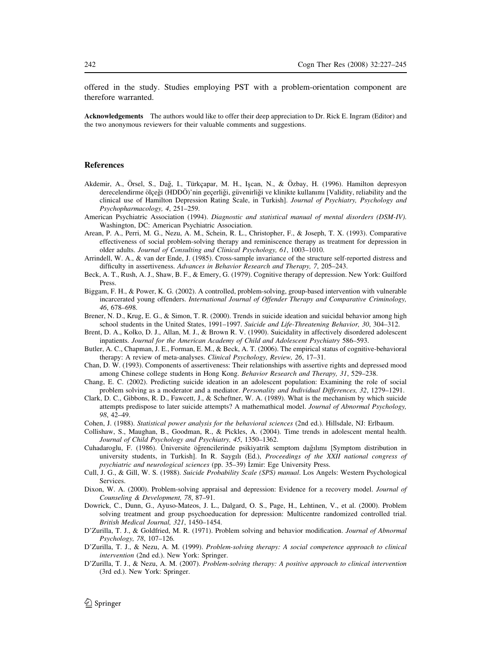<span id="page-15-0"></span>offered in the study. Studies employing PST with a problem-orientation component are therefore warranted.

Acknowledgements The authors would like to offer their deep appreciation to Dr. Rick E. Ingram (Editor) and the two anonymous reviewers for their valuable comments and suggestions.

# References

- Akdemir, A., Örsel, S., Dağ, I., Türkçapar, M. H., Işcan, N., & Özbay, H. (1996). Hamilton depresyon derecelendirme ölçeği (HDDÖ)'nin geçerliği, güvenirliği ve klinikte kullanımı [Validity, reliability and the clinical use of Hamilton Depression Rating Scale, in Turkish]. Journal of Psychiatry, Psychology and Psychopharmacology, 4, 251–259.
- American Psychiatric Association (1994). Diagnostic and statistical manual of mental disorders (DSM-IV). Washington, DC: American Psychiatric Association.
- Arean, P. A., Perri, M. G., Nezu, A. M., Schein, R. L., Christopher, F., & Joseph, T. X. (1993). Comparative effectiveness of social problem-solving therapy and reminiscence therapy as treatment for depression in older adults. Journal of Consulting and Clinical Psychology, 61, 1003–1010.
- Arrindell, W. A., & van der Ende, J. (1985). Cross-sample invariance of the structure self-reported distress and difficulty in assertiveness. Advances in Behavior Research and Therapy, 7, 205–243.
- Beck, A. T., Rush, A. J., Shaw, B. F., & Emery, G. (1979). Cognitive therapy of depression. New York: Guilford Press.
- Biggam, F. H., & Power, K. G. (2002). A controlled, problem-solving, group-based intervention with vulnerable incarcerated young offenders. International Journal of Offender Therapy and Comparative Criminology, 46, 678–698.
- Brener, N. D., Krug, E. G., & Simon, T. R. (2000). Trends in suicide ideation and suicidal behavior among high school students in the United States, 1991–1997. Suicide and Life-Threatening Behavior, 30, 304–312.
- Brent, D. A., Kolko, D. J., Allan, M. J., & Brown R. V. (1990). Suicidality in affectively disordered adolescent inpatients. Journal for the American Academy of Child and Adolescent Psychiatry 586–593.
- Butler, A. C., Chapman, J. E., Forman, E. M., & Beck, A. T. (2006). The empirical status of cognitive-behavioral therapy: A review of meta-analyses. Clinical Psychology, Review, 26, 17-31.
- Chan, D. W. (1993). Components of assertiveness: Their relationships with assertive rights and depressed mood among Chinese college students in Hong Kong. Behavior Research and Therapy, 31, 529–238.
- Chang, E. C. (2002). Predicting suicide ideation in an adolescent population: Examining the role of social problem solving as a moderator and a mediator. Personality and Individual Differences, 32, 1279–1291.
- Clark, D. C., Gibbons, R. D., Fawcett, J., & Scheftner, W. A. (1989). What is the mechanism by which suicide attempts predispose to later suicide attempts? A mathemathical model. Journal of Abnormal Psychology, 98, 42–49.
- Cohen, J. (1988). Statistical power analysis for the behavioral sciences (2nd ed.). Hillsdale, NJ: Erlbaum.
- Collishaw, S., Maughan, B., Goodman, R., & Pickles, A. (2004). Time trends in adolescent mental health. Journal of Child Psychology and Psychiatry, 45, 1350–1362.
- Cuhadaroglu, F. (1986). Üniversite öğrencilerinde psikiyatrik semptom dağılımı [Symptom distribution in university students, in Turkish]. In R. Saygılı (Ed.), Proceedings of the XXII national congress of psychiatric and neurological sciences (pp. 35-39) *Izmir: Ege University Press.*
- Cull, J. G., & Gill, W. S. (1988). Suicide Probability Scale (SPS) manual. Los Angels: Western Psychological Services.
- Dixon, W. A. (2000). Problem-solving appraisal and depression: Evidence for a recovery model. Journal of Counseling & Development, 78, 87–91.
- Dowrick, C., Dunn, G., Ayuso-Mateos, J. L., Dalgard, O. S., Page, H., Lehtinen, V., et al. (2000). Problem solving treatment and group psychoeducation for depression: Multicentre randomized controlled trial. British Medical Journal, 321, 1450–1454.
- D'Zurilla, T. J., & Goldfried, M. R. (1971). Problem solving and behavior modification. Journal of Abnormal Psychology, 78, 107–126.
- D'Zurilla, T. J., & Nezu, A. M. (1999). Problem-solving therapy: A social competence approach to clinical intervention (2nd ed.). New York: Springer.
- D'Zurilla, T. J., & Nezu, A. M. (2007). Problem-solving therapy: A positive approach to clinical intervention (3rd ed.). New York: Springer.

2 Springer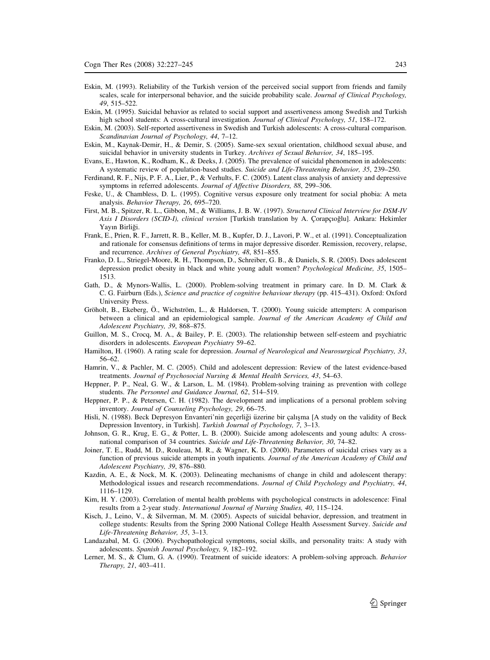- <span id="page-16-0"></span>Eskin, M. (1993). Reliability of the Turkish version of the perceived social support from friends and family scales, scale for interpersonal behavior, and the suicide probability scale. Journal of Clinical Psychology, 49, 515–522.
- Eskin, M. (1995). Suicidal behavior as related to social support and assertiveness among Swedish and Turkish high school students: A cross-cultural investigation. Journal of Clinical Psychology, 51, 158–172.
- Eskin, M. (2003). Self-reported assertiveness in Swedish and Turkish adolescents: A cross-cultural comparison. Scandinavian Journal of Psychology, 44, 7–12.
- Eskin, M., Kaynak-Demir, H., & Demir, S. (2005). Same-sex sexual orientation, childhood sexual abuse, and suicidal behavior in university students in Turkey. Archives of Sexual Behavior, 34, 185–195.
- Evans, E., Hawton, K., Rodham, K., & Deeks, J. (2005). The prevalence of suicidal phenomenon in adolescents: A systematic review of population-based studies. Suicide and Life-Threatening Behavior, 35, 239–250.
- Ferdinand, R. F., Nijs, P. F. A., Lier, P., & Verhults, F. C. (2005). Latent class analysis of anxiety and depressive symptoms in referred adolescents. Journal of Affective Disorders, 88, 299–306.
- Feske, U., & Chambless, D. L. (1995). Cognitive versus exposure only treatment for social phobia: A meta analysis. Behavior Therapy, 26, 695–720.
- First, M. B., Spitzer, R. L., Gibbon, M., & Williams, J. B. W. (1997). Structured Clinical Interview for DSM-IV Axis I Disorders (SCID-I), clinical version [Turkish translation by A. Çorapçıoğlu]. Ankara: Hekimler Yavın Birliği.
- Frank, E., Prien, R. F., Jarrett, R. B., Keller, M. B., Kupfer, D. J., Lavori, P. W., et al. (1991). Conceptualization and rationale for consensus definitions of terms in major depressive disorder. Remission, recovery, relapse, and recurrence. Archives of General Psychiatry, 48, 851–855.
- Franko, D. L., Striegel-Moore, R. H., Thompson, D., Schreiber, G. B., & Daniels, S. R. (2005). Does adolescent depression predict obesity in black and white young adult women? Psychological Medicine, 35, 1505– 1513.
- Gath, D., & Mynors-Wallis, L. (2000). Problem-solving treatment in primary care. In D. M. Clark & C. G. Fairburn (Eds.), Science and practice of cognitive behaviour therapy (pp. 415–431). Oxford: Oxford University Press.
- Gröholt, B., Ekeberg, Ö., Wichström, L., & Haldorsen, T. (2000). Young suicide attempters: A comparison between a clinical and an epidemiological sample. Journal of the American Academy of Child and Adolescent Psychiatry, 39, 868–875.
- Guillon, M. S., Crocq, M. A., & Bailey, P. E. (2003). The relationship between self-esteem and psychiatric disorders in adolescents. European Psychiatry 59–62.
- Hamilton, H. (1960). A rating scale for depression. Journal of Neurological and Neurosurgical Psychiatry, 33, 56–62.
- Hamrin, V., & Pachler, M. C. (2005). Child and adolescent depression: Review of the latest evidence-based treatments. Journal of Psychosocial Nursing & Mental Health Services, 43, 54–63.
- Heppner, P. P., Neal, G. W., & Larson, L. M. (1984). Problem-solving training as prevention with college students. The Personnel and Guidance Journal, 62, 514–519.
- Heppner, P. P., & Petersen, C. H. (1982). The development and implications of a personal problem solving inventory. Journal of Counseling Psychology, 29, 66–75.
- Hisli, N. (1988). Beck Depresyon Envanteri'nin geçerliği üzerine bir çalışma [A study on the validity of Beck Depression Inventory, in Turkish]. Turkish Journal of Psychology, 7, 3–13.
- Johnson, G. R., Krug, E. G., & Potter, L. B. (2000). Suicide among adolescents and young adults: A crossnational comparison of 34 countries. Suicide and Life-Threatening Behavior, 30, 74–82.
- Joiner, T. E., Rudd, M. D., Rouleau, M. R., & Wagner, K. D. (2000). Parameters of suicidal crises vary as a function of previous suicide attempts in youth inpatients. Journal of the American Academy of Child and Adolescent Psychiatry, 39, 876–880.
- Kazdin, A. E., & Nock, M. K. (2003). Delineating mechanisms of change in child and adolescent therapy: Methodological issues and research recommendations. Journal of Child Psychology and Psychiatry, 44, 1116–1129.
- Kim, H. Y. (2003). Correlation of mental health problems with psychological constructs in adolescence: Final results from a 2-year study. International Journal of Nursing Studies, 40, 115–124.
- Kisch, J., Leino, V., & Silverman, M. M. (2005). Aspects of suicidal behavior, depression, and treatment in college students: Results from the Spring 2000 National College Health Assessment Survey. Suicide and Life-Threatening Behavior, 35, 3–13.
- Landazabal, M. G. (2006). Psychopathological symptoms, social skills, and personality traits: A study with adolescents. Spanish Journal Psychology, 9, 182–192.
- Lerner, M. S., & Clum, G. A. (1990). Treatment of suicide ideators: A problem-solving approach. Behavior Therapy, 21, 403–411.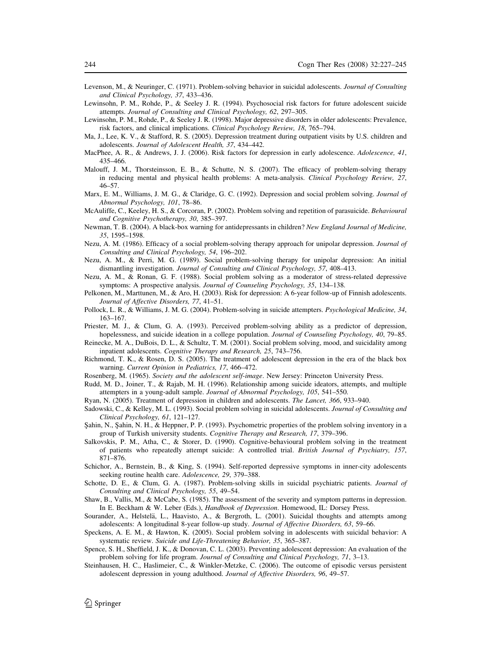- <span id="page-17-0"></span>Levenson, M., & Neuringer, C. (1971). Problem-solving behavior in suicidal adolescents. Journal of Consulting and Clinical Psychology, 37, 433–436.
- Lewinsohn, P. M., Rohde, P., & Seeley J. R. (1994). Psychosocial risk factors for future adolescent suicide attempts. Journal of Consulting and Clinical Psychology, 62, 297–305.
- Lewinsohn, P. M., Rohde, P., & Seeley J. R. (1998). Major depressive disorders in older adolescents: Prevalence, risk factors, and clinical implications. Clinical Psychology Review, 18, 765–794.
- Ma, J., Lee, K. V., & Stafford, R. S. (2005). Depression treatment during outpatient visits by U.S. children and adolescents. Journal of Adolescent Health, 37, 434–442.
- MacPhee, A. R., & Andrews, J. J. (2006). Risk factors for depression in early adolescence. Adolescence, 41, 435–466.
- Malouff, J. M., Thorsteinsson, E. B., & Schutte, N. S. (2007). The efficacy of problem-solving therapy in reducing mental and physical health problems: A meta-analysis. Clinical Psychology Review, 27, 46–57.
- Marx, E. M., Williams, J. M. G., & Claridge, G. C. (1992). Depression and social problem solving. Journal of Abnormal Psychology, 101, 78–86.
- McAuliffe, C., Keeley, H. S., & Corcoran, P. (2002). Problem solving and repetition of parasuicide. Behavioural and Cognitive Psychotherapy, 30, 385–397.
- Newman, T. B. (2004). A black-box warning for antidepressants in children? New England Journal of Medicine, 35, 1595–1598.
- Nezu, A. M. (1986). Efficacy of a social problem-solving therapy approach for unipolar depression. Journal of Consulting and Clinical Psychology, 54, 196–202.
- Nezu, A. M., & Perri, M. G. (1989). Social problem-solving therapy for unipolar depression: An initial dismantling investigation. Journal of Consulting and Clinical Psychology, 57, 408–413.
- Nezu, A. M., & Ronan, G. F. (1988). Social problem solving as a moderator of stress-related depressive symptoms: A prospective analysis. Journal of Counseling Psychology, 35, 134–138.
- Pelkonen, M., Marttunen, M., & Aro, H. (2003). Risk for depression: A 6-year follow-up of Finnish adolescents. Journal of Affective Disorders, 77, 41–51.
- Pollock, L. R., & Williams, J. M. G. (2004). Problem-solving in suicide attempters. Psychological Medicine, 34, 163–167.
- Priester, M. J., & Clum, G. A. (1993). Perceived problem-solving ability as a predictor of depression, hopelessness, and suicide ideation in a college population. Journal of Counseling Psychology, 40, 79–85.
- Reinecke, M. A., DuBois, D. L., & Schultz, T. M. (2001). Social problem solving, mood, and suicidality among inpatient adolescents. Cognitive Therapy and Research, 25, 743–756.
- Richmond, T. K., & Rosen, D. S. (2005). The treatment of adolescent depression in the era of the black box warning. Current Opinion in Pediatrics, 17, 466–472.
- Rosenberg, M. (1965). Society and the adolescent self-image. New Jersey: Princeton University Press.
- Rudd, M. D., Joiner, T., & Rajab, M. H. (1996). Relationship among suicide ideators, attempts, and multiple attempters in a young-adult sample. Journal of Abnormal Psychology, 105, 541–550.
- Ryan, N. (2005). Treatment of depression in children and adolescents. The Lancet, 366, 933–940.
- Sadowski, C., & Kelley, M. L. (1993). Social problem solving in suicidal adolescents. Journal of Consulting and Clinical Psychology, 61, 121–127.
- Şahin, N., Şahin, N. H., & Heppner, P. P. (1993). Psychometric properties of the problem solving inventory in a group of Turkish university students. Cognitive Therapy and Research, 17, 379-396.
- Salkovskis, P. M., Atha, C., & Storer, D. (1990). Cognitive-behavioural problem solving in the treatment of patients who repeatedly attempt suicide: A controlled trial. British Journal of Psychiatry, 157, 871–876.
- Schichor, A., Bernstein, B., & King, S. (1994). Self-reported depressive symptoms in inner-city adolescents seeking routine health care. Adolescence, 29, 379–388.
- Schotte, D. E., & Clum, G. A. (1987). Problem-solving skills in suicidal psychiatric patients. Journal of Consulting and Clinical Psychology, 55, 49–54.
- Shaw, B., Vallis, M., & McCabe, S. (1985). The assessment of the severity and symptom patterns in depression. In E. Beckham & W. Leber (Eds.), Handbook of Depression. Homewood, IL: Dorsey Press.
- Sourander, A., Helstelä, L., Haavisto, A., & Bergroth, L. (2001). Suicidal thoughts and attempts among adolescents: A longitudinal 8-year follow-up study. Journal of Affective Disorders, 63, 59–66.
- Speckens, A. E. M., & Hawton, K. (2005). Social problem solving in adolescents with suicidal behavior: A systematic review. Suicide and Life-Threatening Behavior, 35, 365–387.
- Spence, S. H., Sheffield, J. K., & Donovan, C. L. (2003). Preventing adolescent depression: An evaluation of the problem solving for life program. Journal of Consulting and Clinical Psychology, 71, 3–13.
- Steinhausen, H. C., Haslimeier, C., & Winkler-Metzke, C. (2006). The outcome of episodic versus persistent adolescent depression in young adulthood. Journal of Affective Disorders, 96, 49–57.